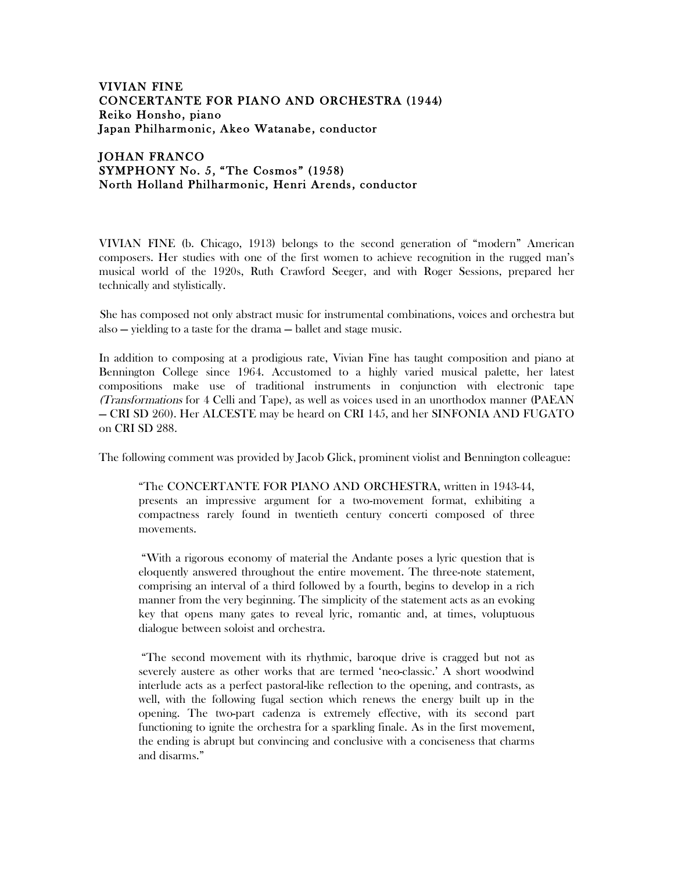## VIVIAN FINE CONCERTANTE FOR PIANO AND ORCHESTRA (1944) Reiko Honsho, piano Japan Philharmonic, Akeo Watanabe, conductor

## JOHAN FRANCO SYMPHONY No. 5, "The Cosmos" (1958) North Holland Philharmonic, Henri Arends, conductor

VIVIAN FINE (b. Chicago, 1913) belongs to the second generation of "modern" American composers. Her studies with one of the first women to achieve recognition in the rugged man's musical world of the 1920s, Ruth Crawford Seeger, and with Roger Sessions, prepared her technically and stylistically.

She has composed not only abstract music for instrumental combinations, voices and orchestra but also — yielding to a taste for the drama — ballet and stage music.

In addition to composing at a prodigious rate, Vivian Fine has taught composition and piano at Bennington College since 1964. Accustomed to a highly varied musical palette, her latest compositions make use of traditional instruments in conjunction with electronic tape (Transformations for 4 Celli and Tape), as well as voices used in an unorthodox manner (PAEAN — CRI SD 260). Her ALCESTE may be heard on CRI 145, and her SINFONIA AND FUGATO on CRI SD 288.

The following comment was provided by Jacob Glick, prominent violist and Bennington colleague:

"The CONCERTANTE FOR PIANO AND ORCHESTRA, written in 1943-44, presents an impressive argument for a two-movement format, exhibiting a compactness rarely found in twentieth century concerti composed of three movements.

"With a rigorous economy of material the Andante poses a lyric question that is eloquently answered throughout the entire movement. The three-note statement, comprising an interval of a third followed by a fourth, begins to develop in a rich manner from the very beginning. The simplicity of the statement acts as an evoking key that opens many gates to reveal lyric, romantic and, at times, voluptuous dialogue between soloist and orchestra.

"The second movement with its rhythmic, baroque drive is cragged but not as severely austere as other works that are termed 'neo-classic.' A short woodwind interlude acts as a perfect pastoral-like reflection to the opening, and contrasts, as well, with the following fugal section which renews the energy built up in the opening. The two-part cadenza is extremely effective, with its second part functioning to ignite the orchestra for a sparkling finale. As in the first movement, the ending is abrupt but convincing and conclusive with a conciseness that charms and disarms."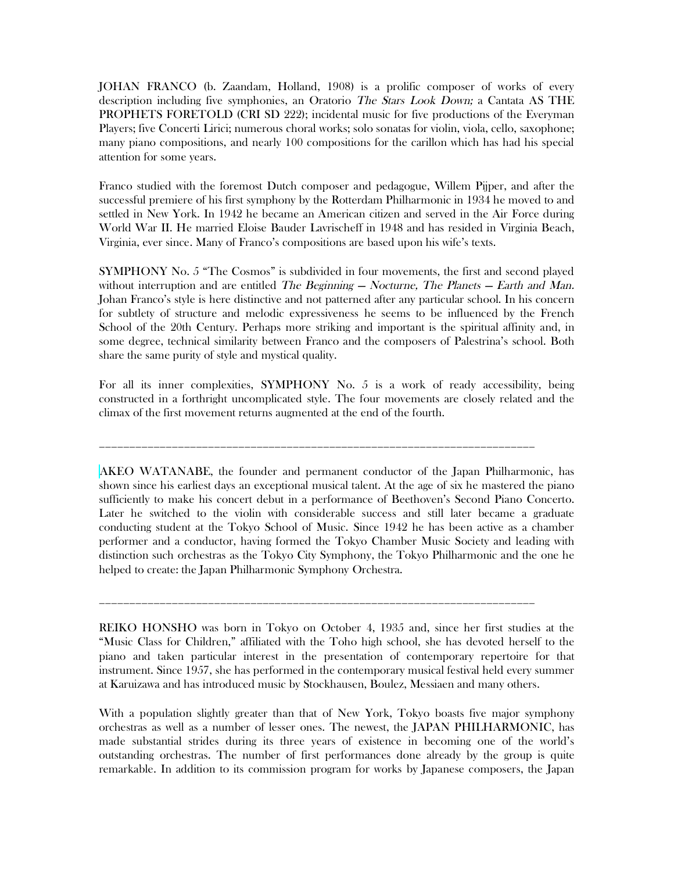JOHAN FRANCO (b. Zaandam, Holland, 1908) is a prolific composer of works of every description including five symphonies, an Oratorio The Stars Look Down; a Cantata AS THE PROPHETS FORETOLD (CRI SD 222); incidental music for five productions of the Everyman Players; five Concerti Lirici; numerous choral works; solo sonatas for violin, viola, cello, saxophone; many piano compositions, and nearly 100 compositions for the carillon which has had his special attention for some years.

Franco studied with the foremost Dutch composer and pedagogue, Willem Pijper, and after the successful premiere of his first symphony by the Rotterdam Philharmonic in 1934 he moved to and settled in New York. In 1942 he became an American citizen and served in the Air Force during World War II. He married Eloise Bauder Lavrischeff in 1948 and has resided in Virginia Beach, Virginia, ever since. Many of Franco's compositions are based upon his wife's texts.

SYMPHONY No. 5 "The Cosmos" is subdivided in four movements, the first and second played without interruption and are entitled The Beginning  $-$  Nocturne, The Planets  $-$  Earth and Man. Johan Franco's style is here distinctive and not patterned after any particular school. In his concern for subtlety of structure and melodic expressiveness he seems to be influenced by the French School of the 20th Century. Perhaps more striking and important is the spiritual affinity and, in some degree, technical similarity between Franco and the composers of Palestrina's school. Both share the same purity of style and mystical quality.

For all its inner complexities, SYMPHONY No. 5 is a work of ready accessibility, being constructed in a forthright uncomplicated style. The four movements are closely related and the climax of the first movement returns augmented at the end of the fourth.

\_\_\_\_\_\_\_\_\_\_\_\_\_\_\_\_\_\_\_\_\_\_\_\_\_\_\_\_\_\_\_\_\_\_\_\_\_\_\_\_\_\_\_\_\_\_\_\_\_\_\_\_\_\_\_\_\_\_\_\_\_\_\_\_\_\_\_\_\_\_\_\_

AKEO WATANABE, the founder and permanent conductor of the Japan Philharmonic, has shown since his earliest days an exceptional musical talent. At the age of six he mastered the piano sufficiently to make his concert debut in a performance of Beethoven's Second Piano Concerto. Later he switched to the violin with considerable success and still later became a graduate conducting student at the Tokyo School of Music. Since 1942 he has been active as a chamber performer and a conductor, having formed the Tokyo Chamber Music Society and leading with distinction such orchestras as the Tokyo City Symphony, the Tokyo Philharmonic and the one he helped to create: the Japan Philharmonic Symphony Orchestra.

REIKO HONSHO was born in Tokyo on October 4, 1935 and, since her first studies at the "Music Class for Children," affiliated with the Toho high school, she has devoted herself to the piano and taken particular interest in the presentation of contemporary repertoire for that instrument. Since 1957, she has performed in the contemporary musical festival held every summer at Karuizawa and has introduced music by Stockhausen, Boulez, Messiaen and many others.

\_\_\_\_\_\_\_\_\_\_\_\_\_\_\_\_\_\_\_\_\_\_\_\_\_\_\_\_\_\_\_\_\_\_\_\_\_\_\_\_\_\_\_\_\_\_\_\_\_\_\_\_\_\_\_\_\_\_\_\_\_\_\_\_\_\_\_\_\_\_\_\_

With a population slightly greater than that of New York, Tokyo boasts five major symphony orchestras as well as a number of lesser ones. The newest, the JAPAN PHILHARMONIC, has made substantial strides during its three years of existence in becoming one of the world's outstanding orchestras. The number of first performances done already by the group is quite remarkable. In addition to its commission program for works by Japanese composers, the Japan